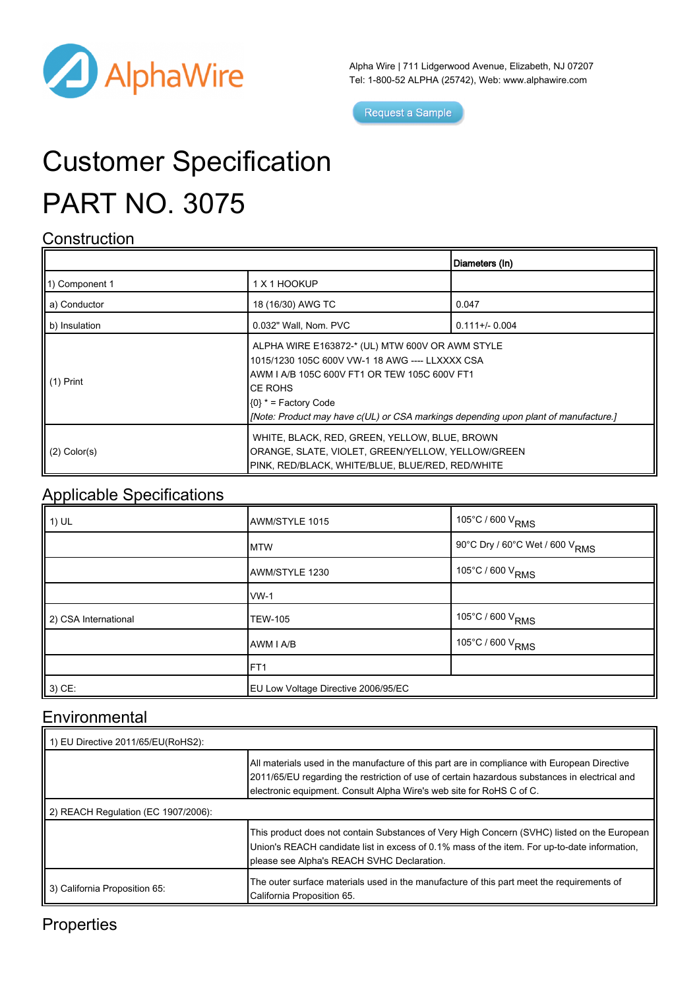

Alpha Wire | 711 Lidgerwood Avenue, Elizabeth, NJ 07207 Tel: 1-800-52 ALPHA (25742), Web: [www.alphawire.com](http://www.alphawire.com)

Request a Sample

# Customer Specification PART NO. 3075

#### **Construction**

|                   |                                                                                                                                                                                                                                                                                  | Diameters (In)  |
|-------------------|----------------------------------------------------------------------------------------------------------------------------------------------------------------------------------------------------------------------------------------------------------------------------------|-----------------|
| 1) Component 1    | 1 X 1 HOOKUP                                                                                                                                                                                                                                                                     |                 |
| a) Conductor      | 18 (16/30) AWG TC                                                                                                                                                                                                                                                                | 0.047           |
| b) Insulation     | 0.032" Wall, Nom. PVC                                                                                                                                                                                                                                                            | $0.111 + 0.004$ |
| $(1)$ Print       | ALPHA WIRE E163872-* (UL) MTW 600V OR AWM STYLE<br>1015/1230 105C 600V VW-1 18 AWG ---- LLXXXX CSA<br>IAWM I A/B 105C 600V FT1 OR TEW 105C 600V FT1<br>ICE ROHS<br>$(0)$ * = Factory Code<br>[Note: Product may have c(UL) or CSA markings depending upon plant of manufacture.] |                 |
| $(2)$ Color $(s)$ | WHITE, BLACK, RED, GREEN, YELLOW, BLUE, BROWN<br>ORANGE, SLATE, VIOLET, GREEN/YELLOW, YELLOW/GREEN<br>PINK, RED/BLACK, WHITE/BLUE, BLUE/RED, RED/WHITE                                                                                                                           |                 |

#### Applicable Specifications

| $1)$ UL              | AWM/STYLE 1015                      | 105°C / 600 V <sub>RMS</sub>                 |
|----------------------|-------------------------------------|----------------------------------------------|
|                      | <b>MTW</b>                          | , 90°C Dry / 60°C Wet / 600 V <sub>RMS</sub> |
|                      | AWM/STYLE 1230                      | 105°C / 600 V <sub>RMS</sub>                 |
|                      | $WW-1$                              |                                              |
| 2) CSA International | <b>TEW-105</b>                      | 105°C / 600 V <sub>RMS</sub>                 |
|                      | AWM I A/B                           | 105°C / 600 V <sub>RMS</sub>                 |
|                      | FT <sub>1</sub>                     |                                              |
| 3) CE:               | EU Low Voltage Directive 2006/95/EC |                                              |

### **Environmental**

| 1) EU Directive 2011/65/EU(RoHS2):  |                                                                                                                                                                                                                                                                       |  |
|-------------------------------------|-----------------------------------------------------------------------------------------------------------------------------------------------------------------------------------------------------------------------------------------------------------------------|--|
|                                     | All materials used in the manufacture of this part are in compliance with European Directive<br>2011/65/EU regarding the restriction of use of certain hazardous substances in electrical and<br>electronic equipment. Consult Alpha Wire's web site for RoHS C of C. |  |
| 2) REACH Regulation (EC 1907/2006): |                                                                                                                                                                                                                                                                       |  |
|                                     | This product does not contain Substances of Very High Concern (SVHC) listed on the European<br>Union's REACH candidate list in excess of 0.1% mass of the item. For up-to-date information,<br>please see Alpha's REACH SVHC Declaration.                             |  |
| 3) California Proposition 65:       | The outer surface materials used in the manufacture of this part meet the requirements of<br>California Proposition 65.                                                                                                                                               |  |

### **Properties**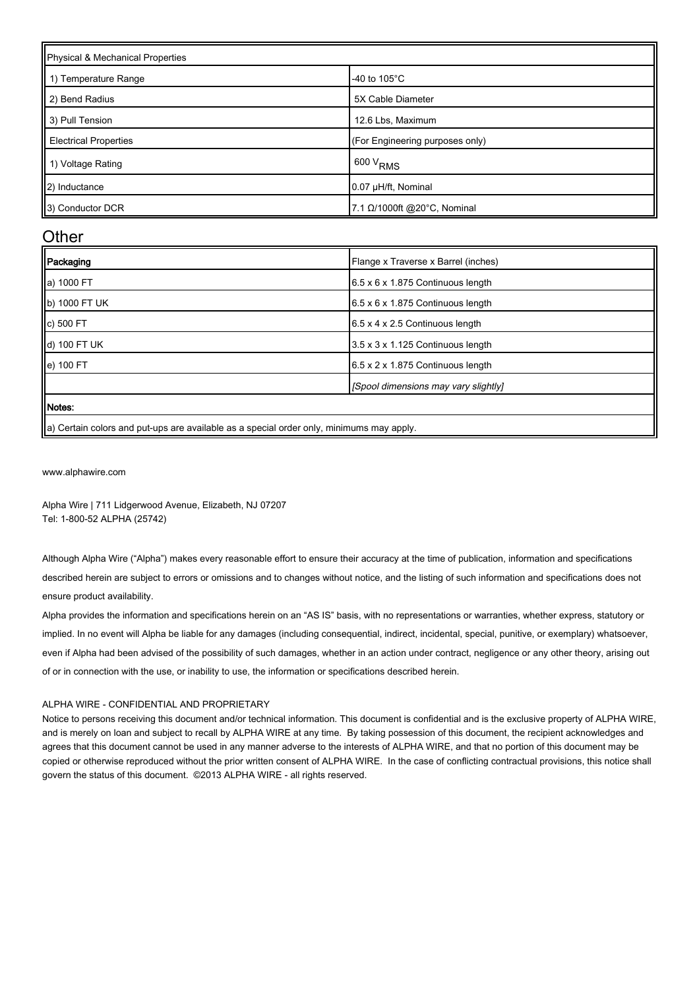| Physical & Mechanical Properties |                                 |  |
|----------------------------------|---------------------------------|--|
| 1) Temperature Range             | -40 to $105^{\circ}$ C          |  |
| 2) Bend Radius                   | 5X Cable Diameter               |  |
| 3) Pull Tension                  | 12.6 Lbs, Maximum               |  |
| <b>Electrical Properties</b>     | (For Engineering purposes only) |  |
| 1) Voltage Rating                | 600 V <sub>RMS</sub>            |  |
| 2) Inductance                    | 0.07 µH/ft, Nominal             |  |
| 3) Conductor DCR                 | 7.1 Ω/1000ft @20°C, Nominal     |  |

#### **Other**

| Packaging     | Flange x Traverse x Barrel (inches)           |
|---------------|-----------------------------------------------|
| a) 1000 FT    | $6.5 \times 6 \times 1.875$ Continuous length |
| b) 1000 FT UK | $6.5 \times 6 \times 1.875$ Continuous length |
| c) 500 FT     | 6.5 x 4 x 2.5 Continuous length               |
| d) 100 FT UK  | 3.5 x 3 x 1.125 Continuous length             |
| e) 100 FT     | 6.5 x 2 x 1.875 Continuous length             |
|               | [Spool dimensions may vary slightly]          |
| <b>Notes:</b> |                                               |
|               |                                               |

|a) Certain colors and put-ups are available as a special order only, minimums may apply.

[www.alphawire.com](http://www.alphawire.com)

Alpha Wire | 711 Lidgerwood Avenue, Elizabeth, NJ 07207 Tel: 1-800-52 ALPHA (25742)

Although Alpha Wire ("Alpha") makes every reasonable effort to ensure their accuracy at the time of publication, information and specifications described herein are subject to errors or omissions and to changes without notice, and the listing of such information and specifications does not ensure product availability.

Alpha provides the information and specifications herein on an "AS IS" basis, with no representations or warranties, whether express, statutory or implied. In no event will Alpha be liable for any damages (including consequential, indirect, incidental, special, punitive, or exemplary) whatsoever, even if Alpha had been advised of the possibility of such damages, whether in an action under contract, negligence or any other theory, arising out of or in connection with the use, or inability to use, the information or specifications described herein.

#### ALPHA WIRE - CONFIDENTIAL AND PROPRIETARY

Notice to persons receiving this document and/or technical information. This document is confidential and is the exclusive property of ALPHA WIRE, and is merely on loan and subject to recall by ALPHA WIRE at any time. By taking possession of this document, the recipient acknowledges and agrees that this document cannot be used in any manner adverse to the interests of ALPHA WIRE, and that no portion of this document may be copied or otherwise reproduced without the prior written consent of ALPHA WIRE. In the case of conflicting contractual provisions, this notice shall govern the status of this document. ©2013 ALPHA WIRE - all rights reserved.